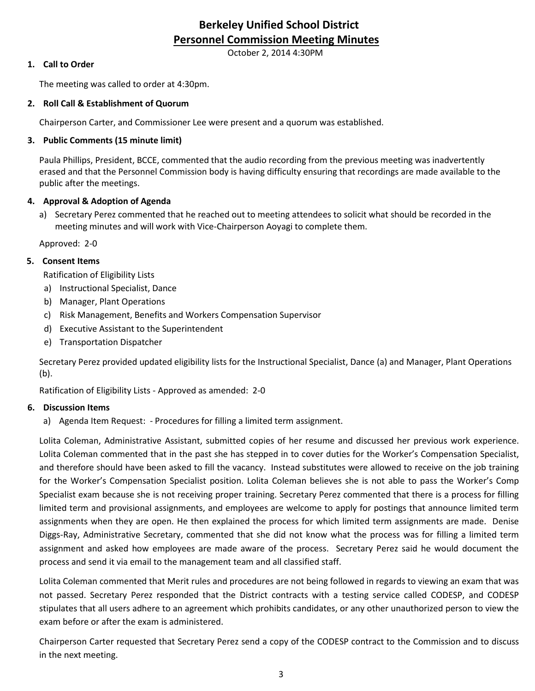# **Berkeley Unified School District Personnel Commission Meeting Minutes**

October 2, 2014 4:30PM

## **1. Call to Order**

The meeting was called to order at 4:30pm.

#### **2. Roll Call & Establishment of Quorum**

Chairperson Carter, and Commissioner Lee were present and a quorum was established.

## **3. Public Comments (15 minute limit)**

Paula Phillips, President, BCCE, commented that the audio recording from the previous meeting was inadvertently erased and that the Personnel Commission body is having difficulty ensuring that recordings are made available to the public after the meetings.

## **4. Approval & Adoption of Agenda**

a) Secretary Perez commented that he reached out to meeting attendees to solicit what should be recorded in the meeting minutes and will work with Vice-Chairperson Aoyagi to complete them.

Approved: 2-0

## **5. Consent Items**

Ratification of Eligibility Lists

- a) Instructional Specialist, Dance
- b) Manager, Plant Operations
- c) Risk Management, Benefits and Workers Compensation Supervisor
- d) Executive Assistant to the Superintendent
- e) Transportation Dispatcher

Secretary Perez provided updated eligibility lists for the Instructional Specialist, Dance (a) and Manager, Plant Operations (b).

Ratification of Eligibility Lists - Approved as amended: 2-0

#### **6. Discussion Items**

a) Agenda Item Request: - Procedures for filling a limited term assignment.

Lolita Coleman, Administrative Assistant, submitted copies of her resume and discussed her previous work experience. Lolita Coleman commented that in the past she has stepped in to cover duties for the Worker's Compensation Specialist, and therefore should have been asked to fill the vacancy. Instead substitutes were allowed to receive on the job training for the Worker's Compensation Specialist position. Lolita Coleman believes she is not able to pass the Worker's Comp Specialist exam because she is not receiving proper training. Secretary Perez commented that there is a process for filling limited term and provisional assignments, and employees are welcome to apply for postings that announce limited term assignments when they are open. He then explained the process for which limited term assignments are made. Denise Diggs-Ray, Administrative Secretary, commented that she did not know what the process was for filling a limited term assignment and asked how employees are made aware of the process. Secretary Perez said he would document the process and send it via email to the management team and all classified staff.

Lolita Coleman commented that Merit rules and procedures are not being followed in regards to viewing an exam that was not passed. Secretary Perez responded that the District contracts with a testing service called CODESP, and CODESP stipulates that all users adhere to an agreement which prohibits candidates, or any other unauthorized person to view the exam before or after the exam is administered.

Chairperson Carter requested that Secretary Perez send a copy of the CODESP contract to the Commission and to discuss in the next meeting.